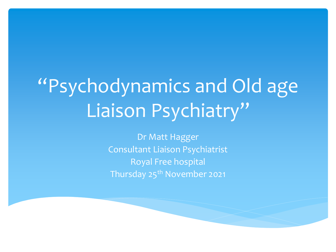# "Psychodynamics and Old age Liaison Psychiatry"

Dr Matt Hagger Consultant Liaison Psychiatrist Royal Free hospital Thursday 25<sup>th</sup> November 2021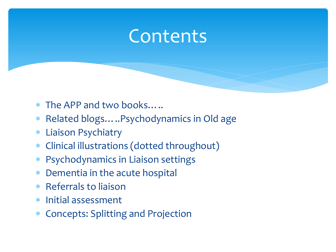### **Contents**

- The APP and two books…..
- Related blogs…..Psychodynamics in Old age
- Liaison Psychiatry
- Clinical illustrations (dotted throughout)
- Psychodynamics in Liaison settings
- Dementia in the acute hospital
- Referrals to liaison
- Initial assessment
- Concepts: Splitting and Projection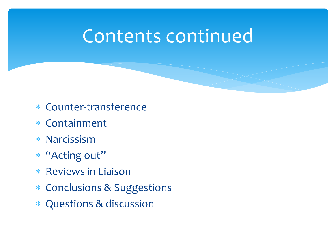### Contents continued

- Counter-transference
- Containment
- Narcissism
- "Acting out"
- \* Reviews in Liaison
- Conclusions & Suggestions
- Questions & discussion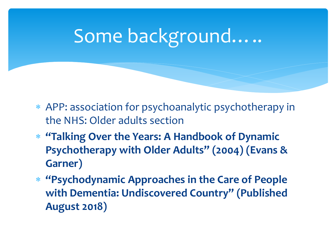# Some background…..

- APP: association for psychoanalytic psychotherapy in the NHS: Older adults section
- **"Talking Over the Years: A Handbook of Dynamic Psychotherapy with Older Adults" (2004) (Evans & Garner)**
- **"Psychodynamic Approaches in the Care of People with Dementia: Undiscovered Country" (Published August 2018)**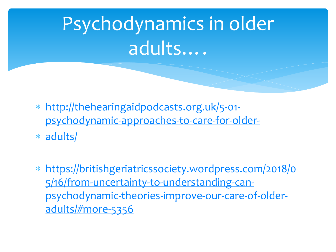# Psychodynamics in older adults….

- http://thehearingaidpodcasts.org.uk/5-01 [psychodynamic-approaches-to-care-for-older-](http://thehearingaidpodcasts.org.uk/5-01-psychodynamic-approaches-to-care-for-older-adults/)
- [adults/](http://thehearingaidpodcasts.org.uk/5-01-psychodynamic-approaches-to-care-for-older-adults/)
- [https://britishgeriatricssociety.wordpress.com/2018/0](https://britishgeriatricssociety.wordpress.com/2018/05/16/from-uncertainty-to-understanding-can-psychodynamic-theories-improve-our-care-of-older-adults/%23more-5356) 5/16/from-uncertainty-to-understanding-canpsychodynamic-theories-improve-our-care-of-olderadults/#more-5356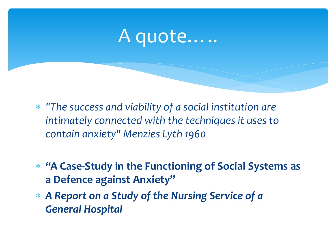### A quote…..

- *"The success and viability of a social institution are intimately connected with the techniques it uses to contain anxiety" Menzies Lyth 1960*
- **"A Case-Study in the Functioning of Social Systems as a Defence against Anxiety"**
- *A Report on a Study of the Nursing Service of a General Hospital*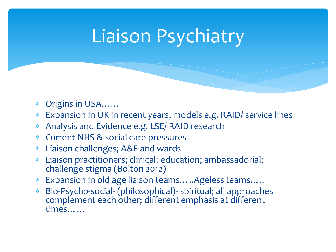# Liaison Psychiatry

- Origins in USA……
- Expansion in UK in recent years; models e.g. RAID/ service lines
- Analysis and Evidence e.g. LSE/ RAID research
- Current NHS & social care pressures
- Liaison challenges; A&E and wards
- Liaison practitioners; clinical; education; ambassadorial; challenge stigma (Bolton 2012)
- Expansion in old age liaison teams…..Ageless teams…..
- Bio-Psycho-social- (philosophical)- spiritual; all approaches complement each other; different emphasis at different times……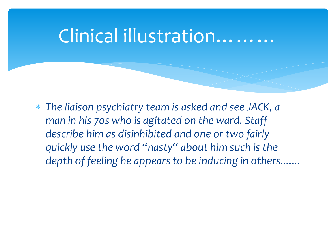#### Clinical illustration………

 *The liaison psychiatry team is asked and see JACK, a man in his 70s who is agitated on the ward. Staff describe him as disinhibited and one or two fairly quickly use the word "nasty" about him such is the depth of feeling he appears to be inducing in others.......*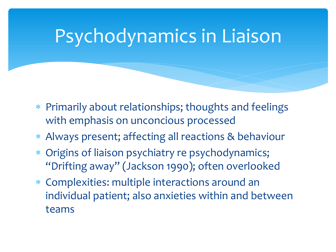### Psychodynamics in Liaison

- Primarily about relationships; thoughts and feelings with emphasis on unconcious processed
- Always present; affecting all reactions & behaviour
- Origins of liaison psychiatry re psychodynamics; "Drifting away" (Jackson 1990); often overlooked
- Complexities: multiple interactions around an individual patient; also anxieties within and between teams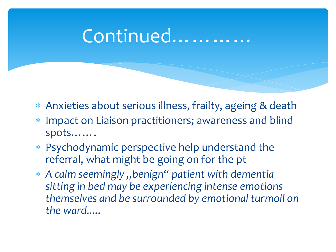### Continued…………

- Anxieties about serious illness, frailty, ageing & death
- Impact on Liaison practitioners; awareness and blind spots…….
- Psychodynamic perspective help understand the referral, what might be going on for the pt
- *A calm seemingly "benign" patient with dementia sitting in bed may be experiencing intense emotions themselves and be surrounded by emotional turmoil on the ward.....*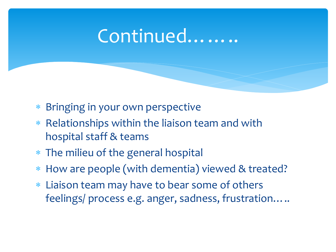#### Continued……..

- Bringing in your own perspective
- Relationships within the liaison team and with hospital staff & teams
- The milieu of the general hospital
- How are people (with dementia) viewed & treated?
- Liaison team may have to bear some of others feelings/ process e.g. anger, sadness, frustration…..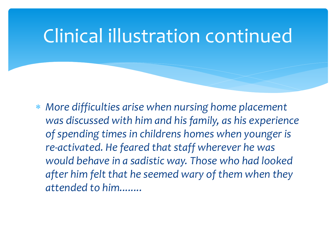### Clinical illustration continued

 *More difficulties arise when nursing home placement was discussed with him and his family, as his experience of spending times in childrens homes when younger is re-activated. He feared that staff wherever he was would behave in a sadistic way. Those who had looked after him felt that he seemed wary of them when they attended to him........*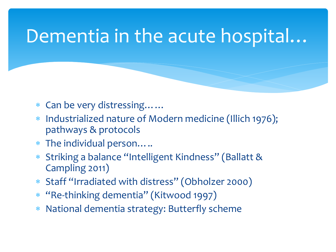### Dementia in the acute hospital…

- Can be very distressing……
- Industrialized nature of Modern medicine (Illich 1976); pathways & protocols
- The individual person…..
- Striking a balance "Intelligent Kindness" (Ballatt & Campling 2011)
- Staff "Irradiated with distress" (Obholzer 2000)
- \* "Re-thinking dementia" (Kitwood 1997)
- National dementia strategy: Butterfly scheme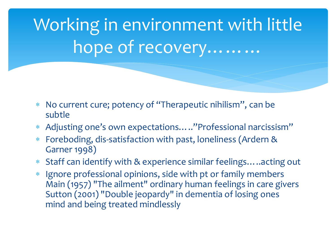Working in environment with little hope of recovery………

- No current cure; potency of "Therapeutic nihilism", can be subtle
- Adjusting one's own expectations….."Professional narcissism"
- Foreboding, dis-satisfaction with past, loneliness (Ardern & Garner 1998)
- Staff can identify with & experience similar feelings…..acting out
- Ignore professional opinions, side with pt or family members Main (1957) "The ailment" ordinary human feelings in care givers Sutton (2001) "Double jeopardy" in dementia of losing ones mind and being treated mindlessly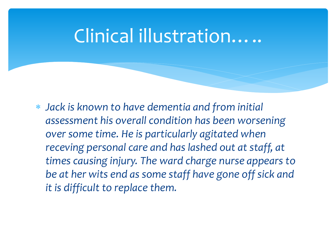### Clinical illustration…..

 *Jack is known to have dementia and from initial assessment his overall condition has been worsening over some time. He is particularly agitated when receving personal care and has lashed out at staff, at times causing injury. The ward charge nurse appears to be at her wits end as some staff have gone off sick and it is difficult to replace them.*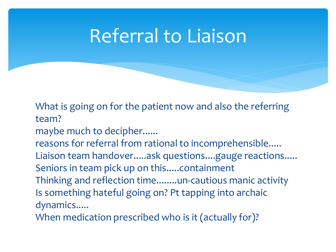### Referral to Liaison

What is going on for the patient now and also the referring team?

maybe much to decipher......

reasons for referral from rational to incomprehensible..... Liaison team handover.....ask questions....gauge reactions..... Seniors in team pick up on this.....containment

Thinking and reflection time........un-cautious manic activity Is something hateful going on? Pt tapping into archaic dynamics.....

When medication prescribed who is it (actually for)?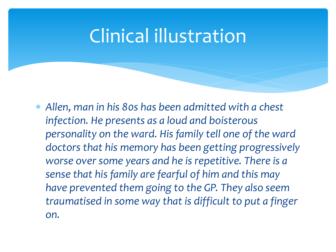### Clinical illustration

 *Allen, man in his 80s has been admitted with a chest infection. He presents as a loud and boisterous personality on the ward. His family tell one of the ward doctors that his memory has been getting progressively worse over some years and he is repetitive. There is a sense that his family are fearful of him and this may have prevented them going to the GP. They also seem traumatised in some way that is difficult to put a finger on.*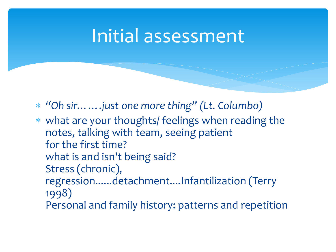#### Initial assessment

- *"Oh sir…….just one more thing" (Lt. Columbo)*
- what are your thoughts/ feelings when reading the notes, talking with team, seeing patient for the first time? what is and isn't being said? Stress (chronic), regression......detachment....Infantilization (Terry 1998) Personal and family history: patterns and repetition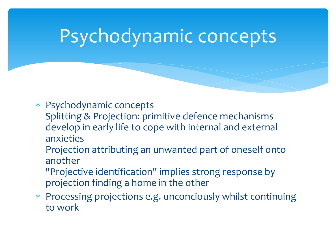### Psychodynamic concepts

- Psychodynamic concepts
	- Splitting & Projection: primitive defence mechanisms develop in early life to cope with internal and external anxieties
		- Projection attributing an unwanted part of oneself onto another
		- "Projective identification" implies strong response by projection finding a home in the other
- Processing projections e.g. unconciously whilst continuing to work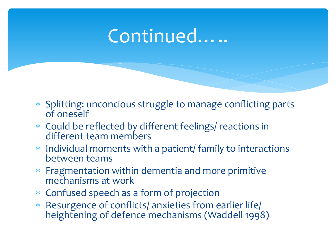### Continued…..

- Splitting: unconcious struggle to manage conflicting parts of oneself
- Could be reflected by different feelings/ reactions in different team members
- Individual moments with a patient/ family to interactions between teams
- Fragmentation within dementia and more primitive mechanisms at work
- Confused speech as a form of projection
- Resurgence of conflicts/ anxieties from earlier life/ heightening of defence mechanisms (Waddell 1998)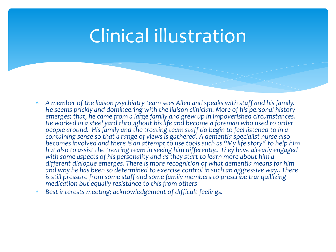### Clinical illustration

- *A member of the liaison psychiatry team sees Allen and speaks with staff and his family. He seems prickly and domineering with the liaison clinician. More of his personal history emerges; that, he came from a large family and grew up in impoverished circumstances. He worked in a steel yard throughout his life and become a foreman who used to order people around. His family and the treating team staff do begin to feel listened to in a containing sense so that a range of views is gathered. A dementia specialist nurse also becomes involved and there is an attempt to use tools such as "My life story" to help him but also to assist the treating team in seeing him differently.. They have already engaged*  with some aspects of his personality and as they start to learn more about him a *different dialogue emerges. There is more recognition of what dementia means for him and why he has been so determined to exercise control in such an aggressive way.. There is still pressure from some staff and some family members to prescribe tranquillizing medication but equally resistance to this from others*
- *Best interests meeting; acknowledgement of difficult feelings.*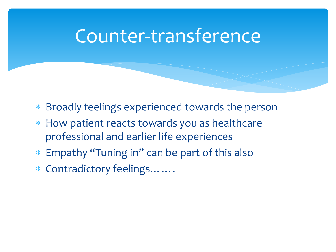### Counter-transference

- Broadly feelings experienced towards the person
- How patient reacts towards you as healthcare professional and earlier life experiences
- Empathy "Tuning in" can be part of this also
- Contradictory feelings…….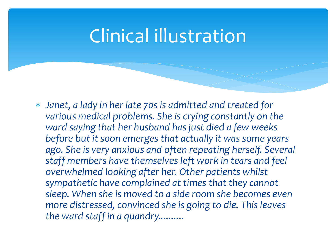### Clinical illustration

 *Janet, a lady in her late 70s is admitted and treated for various medical problems. She is crying constantly on the ward saying that her husband has just died a few weeks before but it soon emerges that actually it was some years ago. She is very anxious and often repeating herself. Several staff members have themselves left work in tears and feel overwhelmed looking after her. Other patients whilst sympathetic have complained at times that they cannot sleep. When she is moved to a side room she becomes even more distressed, convinced she is going to die. This leaves the ward staff in a quandry..........*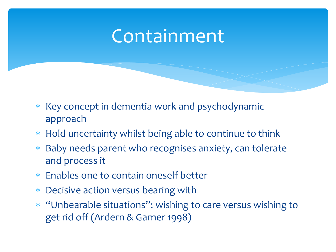### Containment

- \* Key concept in dementia work and psychodynamic approach
- Hold uncertainty whilst being able to continue to think
- Baby needs parent who recognises anxiety, can tolerate and process it
- Enables one to contain oneself better
- Decisive action versus bearing with
- "Unbearable situations": wishing to care versus wishing to get rid off (Ardern & Garner 1998)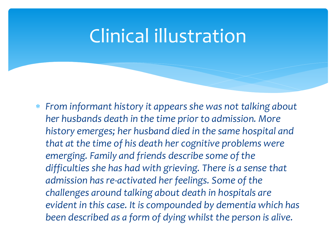### Clinical illustration

 *From informant history it appears she was not talking about her husbands death in the time prior to admission. More history emerges; her husband died in the same hospital and that at the time of his death her cognitive problems were emerging. Family and friends describe some of the difficulties she has had with grieving. There is a sense that admission has re-activated her feelings. Some of the challenges around talking about death in hospitals are evident in this case. It is compounded by dementia which has been described as a form of dying whilst the person is alive.*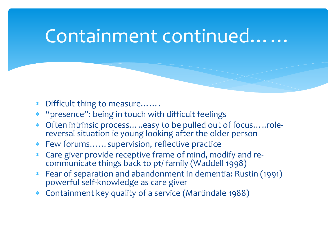#### Containment continued……

- Difficult thing to measure…….
- \* "presence": being in touch with difficult feelings
- Often intrinsic process…..easy to be pulled out of focus…..rolereversal situation ie young looking after the older person
- Few forums……supervision, reflective practice
- Care giver provide receptive frame of mind, modify and recommunicate things back to pt/ family (Waddell 1998)
- Fear of separation and abandonment in dementia: Rustin (1991) powerful self-knowledge as care giver
- Containment key quality of a service (Martindale 1988)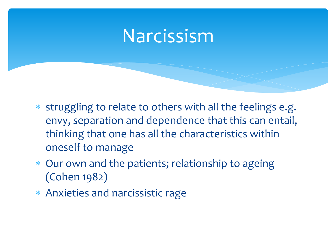### Narcissism

- \* struggling to relate to others with all the feelings e.g. envy, separation and dependence that this can entail, thinking that one has all the characteristics within oneself to manage
- Our own and the patients; relationship to ageing (Cohen 1982)
- Anxieties and narcissistic rage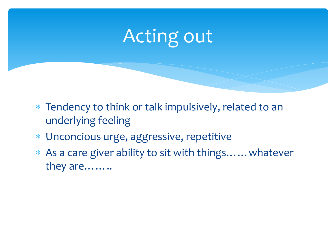# Acting out

- Tendency to think or talk impulsively, related to an underlying feeling
- Unconcious urge, aggressive, repetitive
- As a care giver ability to sit with things……whatever they are……..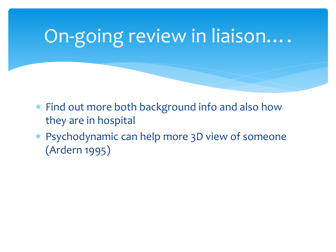# On-going review in liaison….

- Find out more both background info and also how they are in hospital
- Psychodynamic can help more 3D view of someone (Ardern 1995)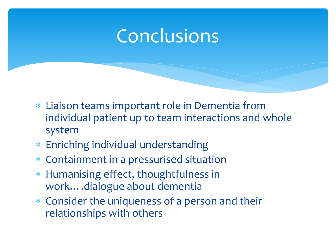### Conclusions

- Liaison teams important role in Dementia from individual patient up to team interactions and whole system
- Enriching individual understanding
- Containment in a pressurised situation
- Humanising effect, thoughtfulness in work….dialogue about dementia
- Consider the uniqueness of a person and their relationships with others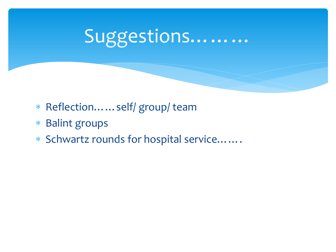# Suggestions………

- Reflection……self/ group/ team
- Balint groups
- Schwartz rounds for hospital service…….